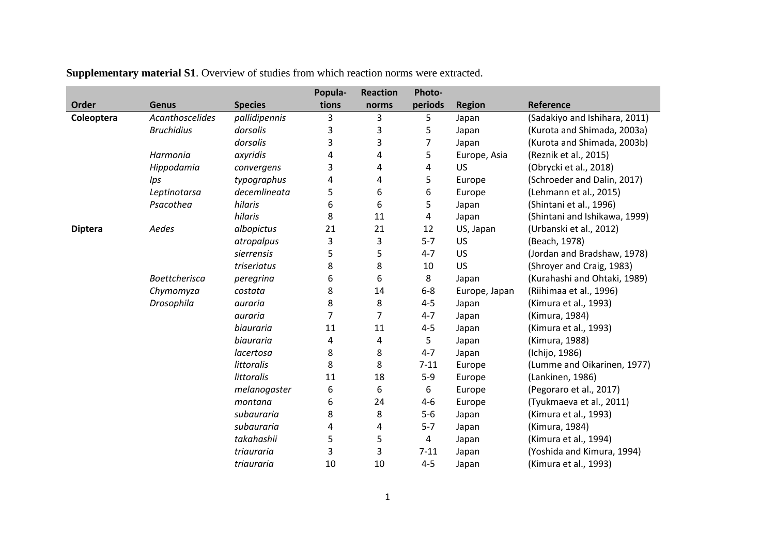|                |                      |                | Popula- | <b>Reaction</b> | Photo-         |               |                               |
|----------------|----------------------|----------------|---------|-----------------|----------------|---------------|-------------------------------|
| Order          | <b>Genus</b>         | <b>Species</b> | tions   | norms           | periods        | <b>Region</b> | Reference                     |
| Coleoptera     | Acanthoscelides      | pallidipennis  | 3       | 3               | 5              | Japan         | (Sadakiyo and Ishihara, 2011) |
|                | <b>Bruchidius</b>    | dorsalis       | 3       | 3               | 5              | Japan         | (Kurota and Shimada, 2003a)   |
|                |                      | dorsalis       | 3       | 3               | $\overline{7}$ | Japan         | (Kurota and Shimada, 2003b)   |
|                | Harmonia             | axyridis       | 4       | 4               | 5              | Europe, Asia  | (Reznik et al., 2015)         |
|                | Hippodamia           | convergens     | 3       | 4               | 4              | <b>US</b>     | (Obrycki et al., 2018)        |
|                | Ips                  | typographus    | 4       | 4               | 5              | Europe        | (Schroeder and Dalin, 2017)   |
|                | Leptinotarsa         | decemlineata   | 5       | 6               | 6              | Europe        | (Lehmann et al., 2015)        |
|                | Psacothea            | hilaris        | 6       | 6               | 5              | Japan         | (Shintani et al., 1996)       |
|                |                      | hilaris        | 8       | 11              | 4              | Japan         | (Shintani and Ishikawa, 1999) |
| <b>Diptera</b> | Aedes                | albopictus     | 21      | 21              | 12             | US, Japan     | (Urbanski et al., 2012)       |
|                |                      | atropalpus     | 3       | 3               | $5 - 7$        | <b>US</b>     | (Beach, 1978)                 |
|                |                      | sierrensis     | 5       | 5               | $4 - 7$        | <b>US</b>     | (Jordan and Bradshaw, 1978)   |
|                |                      | triseriatus    | 8       | 8               | 10             | <b>US</b>     | (Shroyer and Craig, 1983)     |
|                | <b>Boettcherisca</b> | peregrina      | 6       | 6               | 8              | Japan         | (Kurahashi and Ohtaki, 1989)  |
|                | Chymomyza            | costata        | 8       | 14              | $6-8$          | Europe, Japan | (Riihimaa et al., 1996)       |
|                | Drosophila           | auraria        | 8       | 8               | $4 - 5$        | Japan         | (Kimura et al., 1993)         |
|                |                      | auraria        | 7       | $\overline{7}$  | $4 - 7$        | Japan         | (Kimura, 1984)                |
|                |                      | biauraria      | 11      | 11              | $4 - 5$        | Japan         | (Kimura et al., 1993)         |
|                |                      | biauraria      | 4       | 4               | 5              | Japan         | (Kimura, 1988)                |
|                |                      | lacertosa      | 8       | 8               | $4 - 7$        | Japan         | (Ichijo, 1986)                |
|                |                      | littoralis     | 8       | 8               | $7 - 11$       | Europe        | (Lumme and Oikarinen, 1977)   |
|                |                      | littoralis     | 11      | 18              | $5-9$          | Europe        | (Lankinen, 1986)              |
|                |                      | melanogaster   | 6       | 6               | 6              | Europe        | (Pegoraro et al., 2017)       |
|                |                      | montana        | 6       | 24              | $4-6$          | Europe        | (Tyukmaeva et al., 2011)      |
|                |                      | subauraria     | 8       | 8               | $5-6$          | Japan         | (Kimura et al., 1993)         |
|                |                      | subauraria     | 4       | 4               | $5 - 7$        | Japan         | (Kimura, 1984)                |
|                |                      | takahashii     | 5       | 5               | $\overline{4}$ | Japan         | (Kimura et al., 1994)         |
|                |                      | triauraria     | 3       | 3               | $7 - 11$       | Japan         | (Yoshida and Kimura, 1994)    |
|                |                      | triauraria     | 10      | 10              | $4 - 5$        | Japan         | (Kimura et al., 1993)         |

**Supplementary material S1**. Overview of studies from which reaction norms were extracted.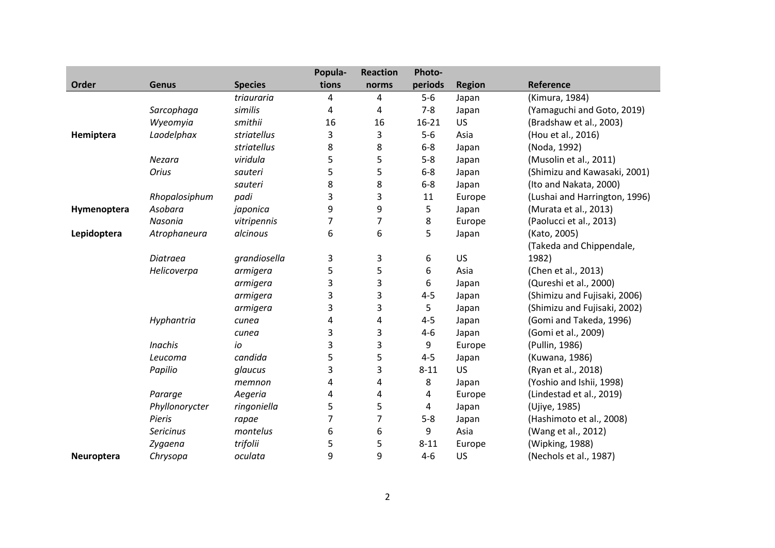|             |                  |                | Popula- | <b>Reaction</b> | Photo-    |               |                               |
|-------------|------------------|----------------|---------|-----------------|-----------|---------------|-------------------------------|
| Order       | <b>Genus</b>     | <b>Species</b> | tions   | norms           | periods   | <b>Region</b> | Reference                     |
|             |                  | triauraria     | 4       | 4               | $5-6$     | Japan         | (Kimura, 1984)                |
|             | Sarcophaga       | similis        | 4       | 4               | $7 - 8$   | Japan         | (Yamaguchi and Goto, 2019)    |
|             | Wyeomyia         | smithii        | 16      | 16              | $16 - 21$ | US            | (Bradshaw et al., 2003)       |
| Hemiptera   | Laodelphax       | striatellus    | 3       | 3               | $5-6$     | Asia          | (Hou et al., 2016)            |
|             |                  | striatellus    | 8       | 8               | $6 - 8$   | Japan         | (Noda, 1992)                  |
|             | Nezara           | viridula       | 5       | 5               | $5 - 8$   | Japan         | (Musolin et al., 2011)        |
|             | Orius            | sauteri        | 5       | 5               | $6 - 8$   | Japan         | (Shimizu and Kawasaki, 2001)  |
|             |                  | sauteri        | 8       | 8               | $6 - 8$   | Japan         | (Ito and Nakata, 2000)        |
|             | Rhopalosiphum    | padi           | 3       | 3               | 11        | Europe        | (Lushai and Harrington, 1996) |
| Hymenoptera | Asobara          | japonica       | 9       | 9               | 5         | Japan         | (Murata et al., 2013)         |
|             | Nasonia          | vitripennis    | 7       | $\overline{7}$  | 8         | Europe        | (Paolucci et al., 2013)       |
| Lepidoptera | Atrophaneura     | alcinous       | 6       | 6               | 5         | Japan         | (Kato, 2005)                  |
|             |                  |                |         |                 |           |               | (Takeda and Chippendale,      |
|             | Diatraea         | grandiosella   | 3       | 3               | 6         | <b>US</b>     | 1982)                         |
|             | Helicoverpa      | armigera       | 5       | 5               | 6         | Asia          | (Chen et al., 2013)           |
|             |                  | armigera       | 3       | 3               | 6         | Japan         | (Qureshi et al., 2000)        |
|             |                  | armigera       | 3       | 3               | $4 - 5$   | Japan         | (Shimizu and Fujisaki, 2006)  |
|             |                  | armigera       | 3       | 3               | 5         | Japan         | (Shimizu and Fujisaki, 2002)  |
|             | Hyphantria       | cunea          | 4       | 4               | $4 - 5$   | Japan         | (Gomi and Takeda, 1996)       |
|             |                  | cunea          | 3       | 3               | $4 - 6$   | Japan         | (Gomi et al., 2009)           |
|             | <b>Inachis</b>   | io             | 3       | 3               | 9         | Europe        | (Pullin, 1986)                |
|             | Leucoma          | candida        | 5       | 5               | $4 - 5$   | Japan         | (Kuwana, 1986)                |
|             | Papilio          | glaucus        | 3       | 3               | $8 - 11$  | US            | (Ryan et al., 2018)           |
|             |                  | memnon         | 4       | 4               | 8         | Japan         | (Yoshio and Ishii, 1998)      |
|             | Pararge          | Aegeria        | 4       | 4               | 4         | Europe        | (Lindestad et al., 2019)      |
|             | Phyllonorycter   | ringoniella    | 5       | 5               | 4         | Japan         | (Ujiye, 1985)                 |
|             | Pieris           | rapae          | 7       | $\overline{7}$  | $5 - 8$   | Japan         | (Hashimoto et al., 2008)      |
|             | <b>Sericinus</b> | montelus       | 6       | 6               | 9         | Asia          | (Wang et al., 2012)           |
|             | Zygaena          | trifolii       | 5       | 5               | $8 - 11$  | Europe        | (Wipking, 1988)               |
| Neuroptera  | Chrysopa         | oculata        | 9       | 9               | $4 - 6$   | US            | (Nechols et al., 1987)        |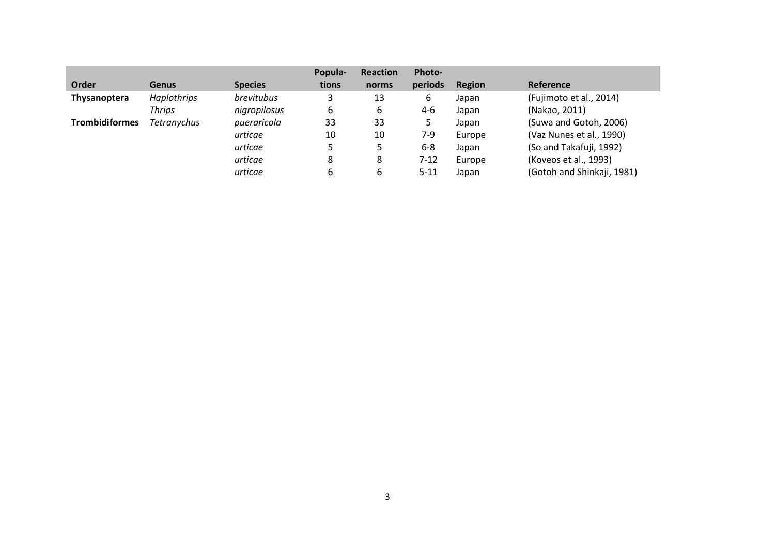|                       |              |                | Popula- | Reaction | Photo-   |        |                            |
|-----------------------|--------------|----------------|---------|----------|----------|--------|----------------------------|
| Order                 | <b>Genus</b> | <b>Species</b> | tions   | norms    | periods  | Region | <b>Reference</b>           |
| <b>Thysanoptera</b>   | Haplothrips  | brevitubus     |         | 13       | 6        | Japan  | (Fujimoto et al., 2014)    |
|                       | Thrips       | nigropilosus   | 6       | 6        | $4-6$    | Japan  | (Nakao, 2011)              |
| <b>Trombidiformes</b> | Tetranychus  | pueraricola    | 33      | 33       | 5        | Japan  | (Suwa and Gotoh, 2006)     |
|                       |              | urticae        | 10      | 10       | 7-9      | Europe | (Vaz Nunes et al., 1990)   |
|                       |              | urticae        |         |          | $6-8$    | Japan  | (So and Takafuji, 1992)    |
|                       |              | urticae        | 8       | 8        | $7 - 12$ | Europe | (Koveos et al., 1993)      |
|                       |              | urticae        |         | 6        | $5 - 11$ | Japan  | (Gotoh and Shinkaji, 1981) |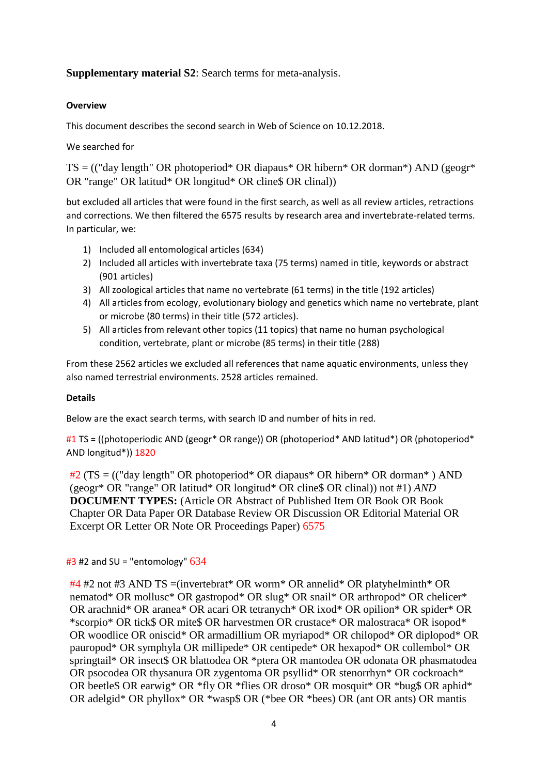# **Supplementary material S2**: Search terms for meta-analysis.

# **Overview**

This document describes the second search in Web of Science on 10.12.2018.

We searched for

TS = (("day length" OR photoperiod\* OR diapaus\* OR hibern\* OR dorman\*) AND (geogr\* OR "range" OR latitud\* OR longitud\* OR cline\$ OR clinal))

but excluded all articles that were found in the first search, as well as all review articles, retractions and corrections. We then filtered the 6575 results by research area and invertebrate-related terms. In particular, we:

- 1) Included all entomological articles (634)
- 2) Included all articles with invertebrate taxa (75 terms) named in title, keywords or abstract (901 articles)
- 3) All zoological articles that name no vertebrate (61 terms) in the title (192 articles)
- 4) All articles from ecology, evolutionary biology and genetics which name no vertebrate, plant or microbe (80 terms) in their title (572 articles).
- 5) All articles from relevant other topics (11 topics) that name no human psychological condition, vertebrate, plant or microbe (85 terms) in their title (288)

From these 2562 articles we excluded all references that name aquatic environments, unless they also named terrestrial environments. 2528 articles remained.

#### **Details**

Below are the exact search terms, with search ID and number of hits in red.

#1 TS = ((photoperiodic AND (geogr\* OR range)) OR (photoperiod\* AND latitud\*) OR (photoperiod\* AND longitud\*)) 1820

#2 (TS = (("day length" OR photoperiod\* OR diapaus\* OR hibern\* OR dorman\* ) AND (geogr\* OR "range" OR latitud\* OR longitud\* OR cline\$ OR clinal)) not #1) *AND*  **DOCUMENT TYPES:** (Article OR Abstract of Published Item OR Book OR Book Chapter OR Data Paper OR Database Review OR Discussion OR Editorial Material OR Excerpt OR Letter OR Note OR Proceedings Paper) 6575

# $#3$  #2 and SU = "entomology"  $634$

 $#4$  #2 not #3 AND TS =(invertebrat\* OR worm\* OR annelid\* OR platyhelminth\* OR nematod\* OR mollusc\* OR gastropod\* OR slug\* OR snail\* OR arthropod\* OR chelicer\* OR arachnid\* OR aranea\* OR acari OR tetranych\* OR ixod\* OR opilion\* OR spider\* OR \*scorpio\* OR tick\$ OR mite\$ OR harvestmen OR crustace\* OR malostraca\* OR isopod\* OR woodlice OR oniscid\* OR armadillium OR myriapod\* OR chilopod\* OR diplopod\* OR pauropod\* OR symphyla OR millipede\* OR centipede\* OR hexapod\* OR collembol\* OR springtail\* OR insect\$ OR blattodea OR \*ptera OR mantodea OR odonata OR phasmatodea OR psocodea OR thysanura OR zygentoma OR psyllid\* OR stenorrhyn\* OR cockroach\* OR beetle\$ OR earwig\* OR \*fly OR \*flies OR droso\* OR mosquit\* OR \*bug\$ OR aphid\* OR adelgid\* OR phyllox\* OR \*wasp\$ OR (\*bee OR \*bees) OR (ant OR ants) OR mantis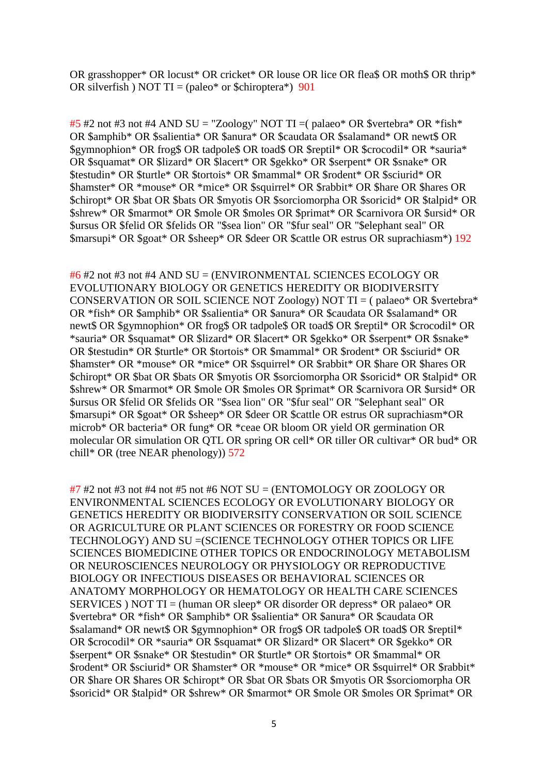OR grasshopper\* OR locust\* OR cricket\* OR louse OR lice OR flea\$ OR moth\$ OR thrip\* OR silverfish) NOT TI = (paleo\* or \$chiroptera\*)  $901$ 

 $#5$  #2 not #3 not #4 AND SU = "Zoology" NOT TI = (palaeo\* OR \$vertebra\* OR \*fish\* OR \$amphib\* OR \$salientia\* OR \$anura\* OR \$caudata OR \$salamand\* OR newt\$ OR \$gymnophion\* OR frog\$ OR tadpole\$ OR toad\$ OR \$reptil\* OR \$crocodil\* OR \*sauria\* OR \$squamat\* OR \$lizard\* OR \$lacert\* OR \$gekko\* OR \$serpent\* OR \$snake\* OR \$testudin\* OR \$turtle\* OR \$tortois\* OR \$mammal\* OR \$rodent\* OR \$sciurid\* OR \$hamster\* OR \*mouse\* OR \*mice\* OR \$squirrel\* OR \$rabbit\* OR \$hare OR \$hares OR \$chiropt\* OR \$bat OR \$bats OR \$myotis OR \$sorciomorpha OR \$soricid\* OR \$talpid\* OR \$shrew\* OR \$marmot\* OR \$mole OR \$moles OR \$primat\* OR \$carnivora OR \$ursid\* OR \$ursus OR \$felid OR \$felids OR "\$sea lion" OR "\$fur seal" OR "\$elephant seal" OR \$marsupi\* OR \$goat\* OR \$sheep\* OR \$deer OR \$cattle OR estrus OR suprachiasm\*) 192

 $#6$  #2 not #3 not #4 AND SU = (ENVIRONMENTAL SCIENCES ECOLOGY OR EVOLUTIONARY BIOLOGY OR GENETICS HEREDITY OR BIODIVERSITY CONSERVATION OR SOIL SCIENCE NOT Zoology) NOT TI = (palaeo\* OR \$vertebra\* OR \*fish\* OR \$amphib\* OR \$salientia\* OR \$anura\* OR \$caudata OR \$salamand\* OR newt\$ OR \$gymnophion\* OR frog\$ OR tadpole\$ OR toad\$ OR \$reptil\* OR \$crocodil\* OR \*sauria\* OR \$squamat\* OR \$lizard\* OR \$lacert\* OR \$gekko\* OR \$serpent\* OR \$snake\* OR \$testudin\* OR \$turtle\* OR \$tortois\* OR \$mammal\* OR \$rodent\* OR \$sciurid\* OR \$hamster\* OR \*mouse\* OR \*mice\* OR \$squirrel\* OR \$rabbit\* OR \$hare OR \$hares OR \$chiropt\* OR \$bat OR \$bats OR \$myotis OR \$sorciomorpha OR \$soricid\* OR \$talpid\* OR \$shrew\* OR \$marmot\* OR \$mole OR \$moles OR \$primat\* OR \$carnivora OR \$ursid\* OR \$ursus OR \$felid OR \$felids OR "\$sea lion" OR "\$fur seal" OR "\$elephant seal" OR \$marsupi\* OR \$goat\* OR \$sheep\* OR \$deer OR \$cattle OR estrus OR suprachiasm\*OR microb\* OR bacteria\* OR fung\* OR \*ceae OR bloom OR yield OR germination OR molecular OR simulation OR QTL OR spring OR cell\* OR tiller OR cultivar\* OR bud\* OR chill\* OR (tree NEAR phenology))  $572$ 

 $#7$  #2 not #3 not #4 not #5 not #6 NOT SU = (ENTOMOLOGY OR ZOOLOGY OR ENVIRONMENTAL SCIENCES ECOLOGY OR EVOLUTIONARY BIOLOGY OR GENETICS HEREDITY OR BIODIVERSITY CONSERVATION OR SOIL SCIENCE OR AGRICULTURE OR PLANT SCIENCES OR FORESTRY OR FOOD SCIENCE TECHNOLOGY) AND SU = (SCIENCE TECHNOLOGY OTHER TOPICS OR LIFE SCIENCES BIOMEDICINE OTHER TOPICS OR ENDOCRINOLOGY METABOLISM OR NEUROSCIENCES NEUROLOGY OR PHYSIOLOGY OR REPRODUCTIVE BIOLOGY OR INFECTIOUS DISEASES OR BEHAVIORAL SCIENCES OR ANATOMY MORPHOLOGY OR HEMATOLOGY OR HEALTH CARE SCIENCES SERVICES ) NOT TI = (human OR sleep\* OR disorder OR depress\* OR palaeo\* OR \$vertebra\* OR \*fish\* OR \$amphib\* OR \$salientia\* OR \$anura\* OR \$caudata OR \$salamand\* OR newt\$ OR \$gymnophion\* OR frog\$ OR tadpole\$ OR toad\$ OR \$reptil\* OR \$crocodil\* OR \*sauria\* OR \$squamat\* OR \$lizard\* OR \$lacert\* OR \$gekko\* OR \$serpent\* OR \$snake\* OR \$testudin\* OR \$turtle\* OR \$tortois\* OR \$mammal\* OR \$rodent\* OR \$sciurid\* OR \$hamster\* OR \*mouse\* OR \*mice\* OR \$squirrel\* OR \$rabbit\* OR \$hare OR \$hares OR \$chiropt\* OR \$bat OR \$bats OR \$myotis OR \$sorciomorpha OR \$soricid\* OR \$talpid\* OR \$shrew\* OR \$marmot\* OR \$mole OR \$moles OR \$primat\* OR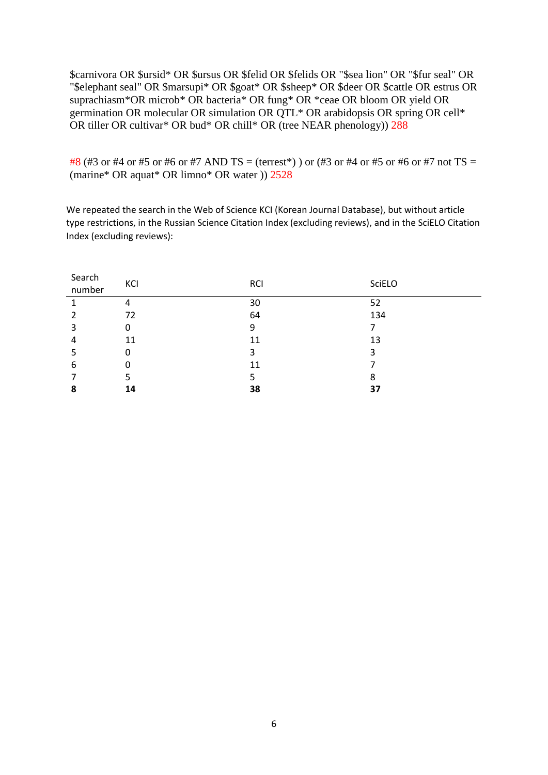\$carnivora OR \$ursid\* OR \$ursus OR \$felid OR \$felids OR "\$sea lion" OR "\$fur seal" OR "\$elephant seal" OR \$marsupi\* OR \$goat\* OR \$sheep\* OR \$deer OR \$cattle OR estrus OR suprachiasm\*OR microb\* OR bacteria\* OR fung\* OR \*ceae OR bloom OR yield OR germination OR molecular OR simulation OR QTL\* OR arabidopsis OR spring OR cell\* OR tiller OR cultivar\* OR bud\* OR chill\* OR (tree NEAR phenology)) 288

#8 (#3 or #4 or #5 or #6 or #7 AND TS = (terrest\*)) or (#3 or #4 or #5 or #6 or #7 not TS = (marine\* OR aquat\* OR limno\* OR water )) 2528

We repeated the search in the Web of Science KCI (Korean Journal Database), but without article type restrictions, in the Russian Science Citation Index (excluding reviews), and in the SciELO Citation Index (excluding reviews):

| Search<br>number | KCI | <b>RCI</b> | SciELO |
|------------------|-----|------------|--------|
|                  | 4   | 30         | 52     |
|                  | 72  | 64         | 134    |
| 3                | 0   | 9          |        |
| 4                | 11  | 11         | 13     |
|                  | 0   | 3          | 3      |
| 6                | 0   | 11         |        |
|                  |     |            | 8      |
| 8                | 14  | 38         | 37     |
|                  |     |            |        |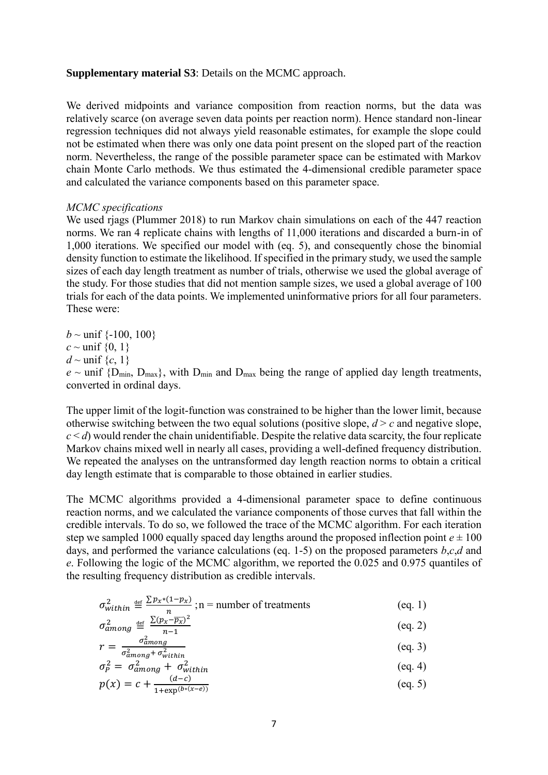#### **Supplementary material S3**: Details on the MCMC approach.

We derived midpoints and variance composition from reaction norms, but the data was relatively scarce (on average seven data points per reaction norm). Hence standard non-linear regression techniques did not always yield reasonable estimates, for example the slope could not be estimated when there was only one data point present on the sloped part of the reaction norm. Nevertheless, the range of the possible parameter space can be estimated with Markov chain Monte Carlo methods. We thus estimated the 4-dimensional credible parameter space and calculated the variance components based on this parameter space.

### *MCMC specifications*

We used rjags (Plummer 2018) to run Markov chain simulations on each of the 447 reaction norms. We ran 4 replicate chains with lengths of 11,000 iterations and discarded a burn-in of 1,000 iterations. We specified our model with (eq. 5), and consequently chose the binomial density function to estimate the likelihood. If specified in the primary study, we used the sample sizes of each day length treatment as number of trials, otherwise we used the global average of the study. For those studies that did not mention sample sizes, we used a global average of 100 trials for each of the data points. We implemented uninformative priors for all four parameters. These were:

*b* ~ unif  $\{-100, 100\}$  $c \sim$  unif  $\{0, 1\}$  $d \sim$  unif  $\{c, 1\}$  $e \sim$  unif  $\{D_{\min}, D_{\max}\}\$ , with  $D_{\min}$  and  $D_{\max}$  being the range of applied day length treatments, converted in ordinal days.

The upper limit of the logit-function was constrained to be higher than the lower limit, because otherwise switching between the two equal solutions (positive slope,  $d > c$  and negative slope,  $c < d$ ) would render the chain unidentifiable. Despite the relative data scarcity, the four replicate Markov chains mixed well in nearly all cases, providing a well-defined frequency distribution. We repeated the analyses on the untransformed day length reaction norms to obtain a critical day length estimate that is comparable to those obtained in earlier studies.

The MCMC algorithms provided a 4-dimensional parameter space to define continuous reaction norms, and we calculated the variance components of those curves that fall within the credible intervals. To do so, we followed the trace of the MCMC algorithm. For each iteration step we sampled 1000 equally spaced day lengths around the proposed inflection point  $e \pm 100$ days, and performed the variance calculations (eq. 1-5) on the proposed parameters *b*,*c*,*d* and *e*. Following the logic of the MCMC algorithm, we reported the 0.025 and 0.975 quantiles of the resulting frequency distribution as credible intervals.

$$
\sigma_{within}^2 \stackrel{\text{def}}{=} \frac{\sum p_x * (1 - p_x)}{n}; n = \text{number of treatments} \tag{eq. 1}
$$

$$
\sigma_{among}^2 \stackrel{\text{def}}{=} \frac{\Sigma (p_x - \overline{p_x})^2}{n - 1} \tag{eq. 2}
$$

$$
r = \frac{\sigma_{among}^2}{\sigma_{among}^2 + \sigma_{within}^2}
$$
 (eq. 3)

$$
\sigma_P^2 = \sigma_{among}^2 + \sigma_{within}^2 \tag{eq.4}
$$

$$
p(x) = c + \frac{(a-c)}{1 + \exp(b*(x-e))}
$$
 (eq. 5)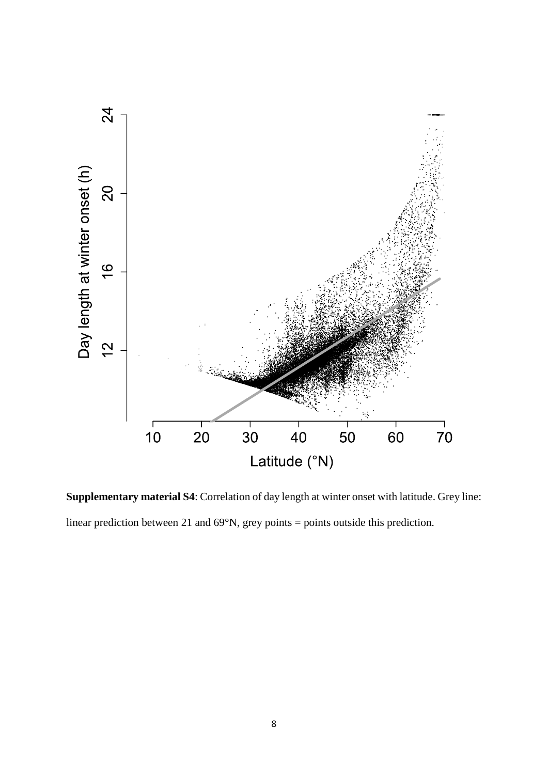

**Supplementary material S4**: Correlation of day length at winter onset with latitude. Grey line: linear prediction between 21 and 69°N, grey points = points outside this prediction.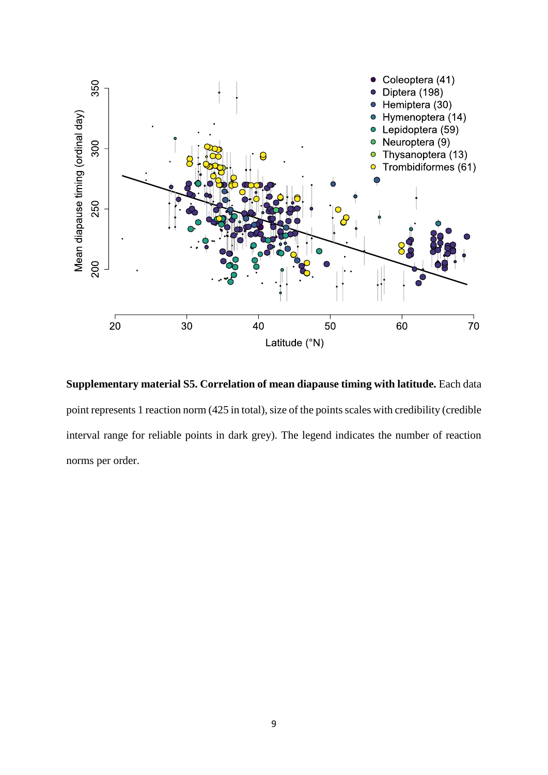

**Supplementary material S5. Correlation of mean diapause timing with latitude.** Each data point represents 1 reaction norm (425 in total), size of the points scales with credibility (credible interval range for reliable points in dark grey). The legend indicates the number of reaction norms per order.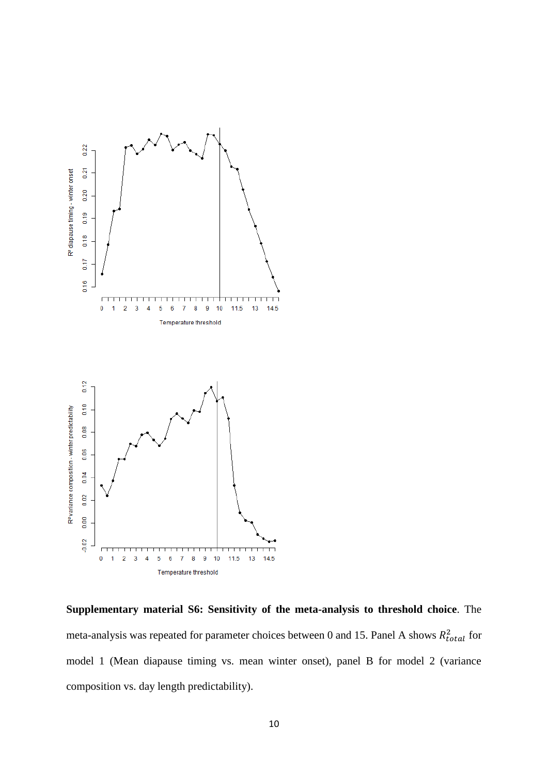

**Supplementary material S6: Sensitivity of the meta-analysis to threshold choice**. The meta-analysis was repeated for parameter choices between 0 and 15. Panel A shows  $R_{total}^2$  for model 1 (Mean diapause timing vs. mean winter onset), panel B for model 2 (variance composition vs. day length predictability).